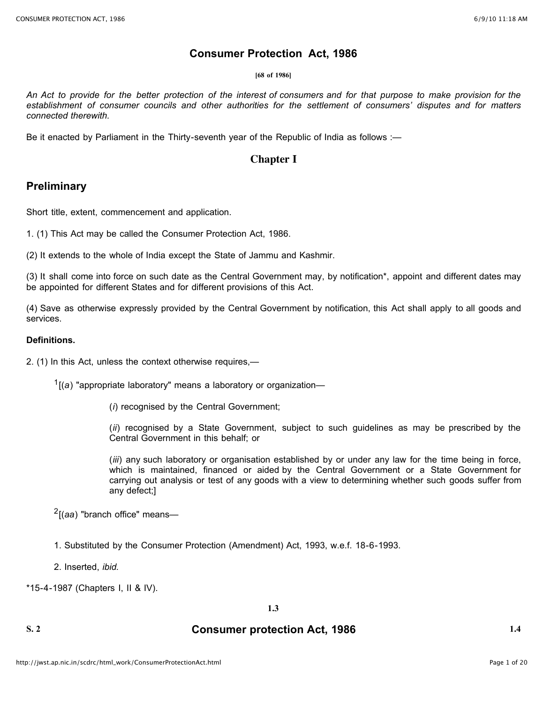### **Consumer Protection Act, 1986**

#### **[68 of 1986]**

An Act to provide for the better protection of the interest of consumers and for that purpose to make provision for the establishment of consumer councils and other authorities for the settlement of consumers' disputes and for matters *connected therewith.*

Be it enacted by Parliament in the Thirty-seventh year of the Republic of India as follows :—

### **Chapter I**

### **Preliminary**

Short title, extent, commencement and application.

1. (1) This Act may be called the Consumer Protection Act, 1986.

(2) It extends to the whole of India except the State of Jammu and Kashmir.

(3) It shall come into force on such date as the Central Government may, by notification\*, appoint and different dates may be appointed for different States and for different provisions of this Act.

(4) Save as otherwise expressly provided by the Central Government by notification, this Act shall apply to all goods and services.

### **Definitions.**

2. (1) In this Act, unless the context otherwise requires,—

1[(*a*) "appropriate laboratory" means a laboratory or organization—

(*i*) recognised by the Central Government;

(*ii*) recognised by a State Government, subject to such guidelines as may be prescribed by the Central Government in this behalf; or

(*iii*) any such laboratory or organisation established by or under any law for the time being in force, which is maintained, financed or aided by the Central Government or a State Government for carrying out analysis or test of any goods with a view to determining whether such goods suffer from any defect;]

2[(*aa*) "branch office" means—

1. Substituted by the Consumer Protection (Amendment) Act, 1993, w.e.f. 18-6-1993.

2. Inserted, *ibid.*

\*15-4-1987 (Chapters I, II & IV).

### **1.3**

### **S. 2 Consumer protection Act, 1986 1.4**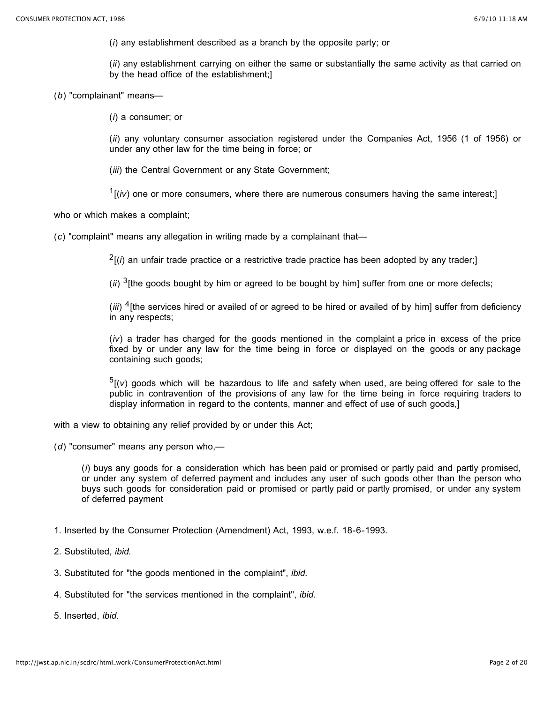(*i*) any establishment described as a branch by the opposite party; or

(*ii*) any establishment carrying on either the same or substantially the same activity as that carried on by the head office of the establishment;]

(*b*) "complainant" means—

(*i*) a consumer; or

(*ii*) any voluntary consumer association registered under the Companies Act, 1956 (1 of 1956) or under any other law for the time being in force; or

(*iii*) the Central Government or any State Government;

 $1$ <sup>( $i$ </sup>) one or more consumers, where there are numerous consumers having the same interest;]

who or which makes a complaint;

(*c*) "complaint" means any allegation in writing made by a complainant that—

 $^{2}$ [(*i*) an unfair trade practice or a restrictive trade practice has been adopted by any trader;

(*ii*) <sup>3</sup>[the goods bought by him or agreed to be bought by him] suffer from one or more defects;

(*iii*) <sup>4</sup>[the services hired or availed of or agreed to be hired or availed of by him] suffer from deficiency in any respects;

(*iv*) a trader has charged for the goods mentioned in the complaint a price in excess of the price fixed by or under any law for the time being in force or displayed on the goods or any package containing such goods;

 $5$ [(v) goods which will be hazardous to life and safety when used, are being offered for sale to the public in contravention of the provisions of any law for the time being in force requiring traders to display information in regard to the contents, manner and effect of use of such goods,]

with a view to obtaining any relief provided by or under this Act;

(*d*) "consumer" means any person who,—

(*i*) buys any goods for a consideration which has been paid or promised or partly paid and partly promised, or under any system of deferred payment and includes any user of such goods other than the person who buys such goods for consideration paid or promised or partly paid or partly promised, or under any system of deferred payment

- 1. Inserted by the Consumer Protection (Amendment) Act, 1993, w.e.f. 18-6-1993.
- 2. Substituted, *ibid.*
- 3. Substituted for "the goods mentioned in the complaint", *ibid.*
- 4. Substituted for "the services mentioned in the complaint", *ibid.*

5. Inserted, *ibid.*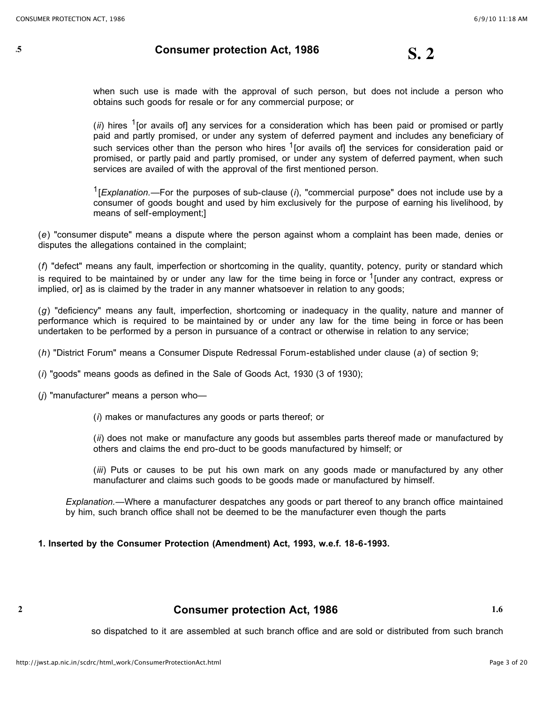## **1.5 Consumer protection Act, <sup>1986</sup> S. 2**

when such use is made with the approval of such person, but does not include a person who obtains such goods for resale or for any commercial purpose; or

(*ii*) hires <sup>1</sup>[or avails of] any services for a consideration which has been paid or promised or partly paid and partly promised, or under any system of deferred payment and includes any beneficiary of such services other than the person who hires  $1$  [or avails of] the services for consideration paid or promised, or partly paid and partly promised, or under any system of deferred payment, when such services are availed of with the approval of the first mentioned person.

1[*Explanation.*—For the purposes of sub-clause (*i*), "commercial purpose" does not include use by a consumer of goods bought and used by him exclusively for the purpose of earning his livelihood, by means of self-employment;]

(*e*) "consumer dispute" means a dispute where the person against whom a complaint has been made, denies or disputes the allegations contained in the complaint;

(*f*) "defect" means any fault, imperfection or shortcoming in the quality, quantity, potency, purity or standard which is required to be maintained by or under any law for the time being in force or  $1$ [under any contract, express or implied, or] as is claimed by the trader in any manner whatsoever in relation to any goods;

(*g*) "deficiency" means any fault, imperfection, shortcoming or inadequacy in the quality, nature and manner of performance which is required to be maintained by or under any law for the time being in force or has been undertaken to be performed by a person in pursuance of a contract or otherwise in relation to any service;

(*h*) "District Forum" means a Consumer Dispute Redressal Forum-established under clause (*a*) of section 9;

(*i*) "goods" means goods as defined in the Sale of Goods Act, 1930 (3 of 1930);

(*j*) "manufacturer" means a person who—

(*i*) makes or manufactures any goods or parts thereof; or

(*ii*) does not make or manufacture any goods but assembles parts thereof made or manufactured by others and claims the end pro-duct to be goods manufactured by himself; or

(*iii*) Puts or causes to be put his own mark on any goods made or manufactured by any other manufacturer and claims such goods to be goods made or manufactured by himself.

*Explanation.*—Where a manufacturer despatches any goods or part thereof to any branch office maintained by him, such branch office shall not be deemed to be the manufacturer even though the parts

**1. Inserted by the Consumer Protection (Amendment) Act, 1993, w.e.f. 18-6-1993.**

### **S. 2 Consumer protection Act, 1986 1.6**

so dispatched to it are assembled at such branch office and are sold or distributed from such branch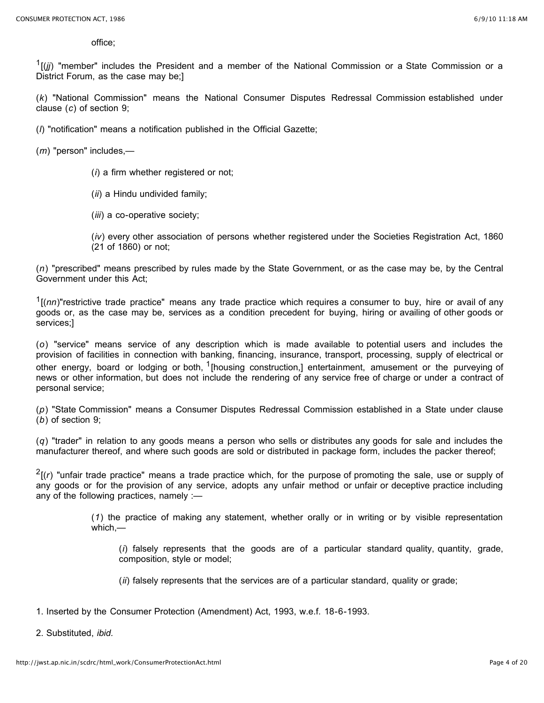office;

<sup>1</sup>[(*jj*) "member" includes the President and a member of the National Commission or a State Commission or a District Forum, as the case may be;]

(*k*) "National Commission" means the National Consumer Disputes Redressal Commission established under clause (*c*) of section 9;

(*l*) "notification" means a notification published in the Official Gazette;

(*m*) "person" includes,—

- (*i*) a firm whether registered or not;
- (*ii*) a Hindu undivided family;
- (*iii*) a co-operative society;
- (*iv*) every other association of persons whether registered under the Societies Registration Act, 1860 (21 of 1860) or not;

(*n*) "prescribed" means prescribed by rules made by the State Government, or as the case may be, by the Central Government under this Act;

1[(*nn*)"restrictive trade practice" means any trade practice which requires a consumer to buy, hire or avail of any goods or, as the case may be, services as a condition precedent for buying, hiring or availing of other goods or services;]

(*o*) "service" means service of any description which is made available to potential users and includes the provision of facilities in connection with banking, financing, insurance, transport, processing, supply of electrical or other energy, board or lodging or both, <sup>1</sup>[housing construction,] entertainment, amusement or the purveying of news or other information, but does not include the rendering of any service free of charge or under a contract of personal service;

(*p*) "State Commission" means a Consumer Disputes Redressal Commission established in a State under clause (*b*) of section 9;

(*q*) "trader" in relation to any goods means a person who sells or distributes any goods for sale and includes the manufacturer thereof, and where such goods are sold or distributed in package form, includes the packer thereof;

 $<sup>2</sup>$ [(*r*) "unfair trade practice" means a trade practice which, for the purpose of promoting the sale, use or supply of</sup> any goods or for the provision of any service, adopts any unfair method or unfair or deceptive practice including any of the following practices, namely :—

> (*1*) the practice of making any statement, whether orally or in writing or by visible representation which,—

(*i*) falsely represents that the goods are of a particular standard quality, quantity, grade, composition, style or model;

(*ii*) falsely represents that the services are of a particular standard, quality or grade;

- 1. Inserted by the Consumer Protection (Amendment) Act, 1993, w.e.f. 18-6-1993.
- 2. Substituted, *ibid.*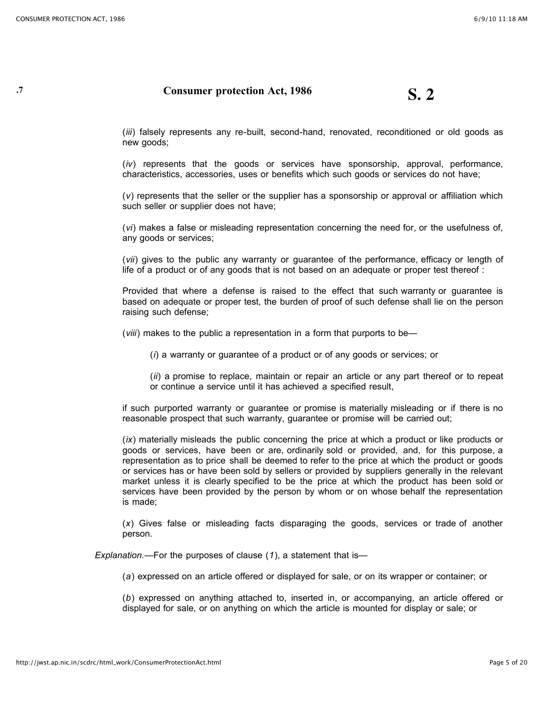## **1.7 Consumer protection Act, 1986 S. 2**

(*iii*) falsely represents any re-built, second-hand, renovated, reconditioned or old goods as new goods;

(*iv*) represents that the goods or services have sponsorship, approval, performance, characteristics, accessories, uses or benefits which such goods or services do not have;

(*v*) represents that the seller or the supplier has a sponsorship or approval or affiliation which such seller or supplier does not have;

(*vi*) makes a false or misleading representation concerning the need for, or the usefulness of, any goods or services;

(*vii*) gives to the public any warranty or guarantee of the performance, efficacy or length of life of a product or of any goods that is not based on an adequate or proper test thereof :

Provided that where a defense is raised to the effect that such warranty or guarantee is based on adequate or proper test, the burden of proof of such defense shall lie on the person raising such defense;

(*viii*) makes to the public a representation in a form that purports to be—

(*i*) a warranty or guarantee of a product or of any goods or services; or

(*ii*) a promise to replace, maintain or repair an article or any part thereof or to repeat or continue a service until it has achieved a specified result,

if such purported warranty or guarantee or promise is materially misleading or if there is no reasonable prospect that such warranty, guarantee or promise will be carried out;

(*ix*) materially misleads the public concerning the price at which a product or like products or goods or services, have been or are, ordinarily sold or provided, and, for this purpose, a representation as to price shall be deemed to refer to the price at which the product or goods or services has or have been sold by sellers or provided by suppliers generally in the relevant market unless it is clearly specified to be the price at which the product has been sold or services have been provided by the person by whom or on whose behalf the representation is made;

(*x*) Gives false or misleading facts disparaging the goods, services or trade of another person.

*Explanation.*—For the purposes of clause (*1*), a statement that is—

(*a*) expressed on an article offered or displayed for sale, or on its wrapper or container; or

(*b*) expressed on anything attached to, inserted in, or accompanying, an article offered or displayed for sale, or on anything on which the article is mounted for display or sale; or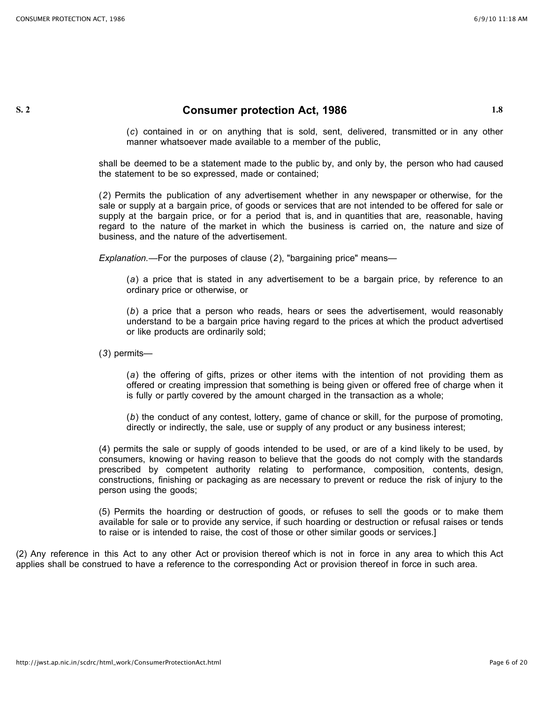### **S. 2 Consumer protection Act, 1986 1.8**

(*c*) contained in or on anything that is sold, sent, delivered, transmitted or in any other manner whatsoever made available to a member of the public,

shall be deemed to be a statement made to the public by, and only by, the person who had caused the statement to be so expressed, made or contained;

(*2*) Permits the publication of any advertisement whether in any newspaper or otherwise, for the sale or supply at a bargain price, of goods or services that are not intended to be offered for sale or supply at the bargain price, or for a period that is, and in quantities that are, reasonable, having regard to the nature of the market in which the business is carried on, the nature and size of business, and the nature of the advertisement.

*Explanation.*—For the purposes of clause (*2*), "bargaining price" means—

(*a*) a price that is stated in any advertisement to be a bargain price, by reference to an ordinary price or otherwise, or

(*b*) a price that a person who reads, hears or sees the advertisement, would reasonably understand to be a bargain price having regard to the prices at which the product advertised or like products are ordinarily sold;

(*3*) permits—

(*a*) the offering of gifts, prizes or other items with the intention of not providing them as offered or creating impression that something is being given or offered free of charge when it is fully or partly covered by the amount charged in the transaction as a whole;

(*b*) the conduct of any contest, lottery, game of chance or skill, for the purpose of promoting, directly or indirectly, the sale, use or supply of any product or any business interest;

(4) permits the sale or supply of goods intended to be used, or are of a kind likely to be used, by consumers, knowing or having reason to believe that the goods do not comply with the standards prescribed by competent authority relating to performance, composition, contents, design, constructions, finishing or packaging as are necessary to prevent or reduce the risk of injury to the person using the goods;

(5) Permits the hoarding or destruction of goods, or refuses to sell the goods or to make them available for sale or to provide any service, if such hoarding or destruction or refusal raises or tends to raise or is intended to raise, the cost of those or other similar goods or services.]

(2) Any reference in this Act to any other Act or provision thereof which is not in force in any area to which this Act applies shall be construed to have a reference to the corresponding Act or provision thereof in force in such area.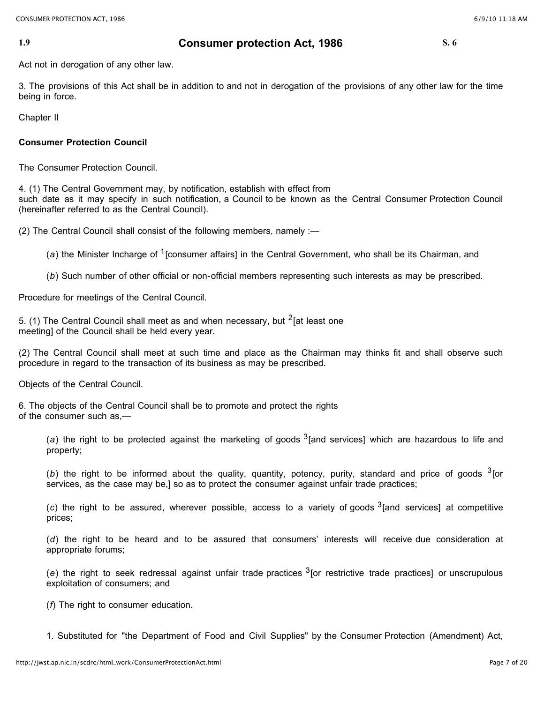### **1.9 Consumer protection Act, 1986 S. 6**

Act not in derogation of any other law.

3. The provisions of this Act shall be in addition to and not in derogation of the provisions of any other law for the time being in force.

Chapter II

### **Consumer Protection Council**

The Consumer Protection Council.

4. (1) The Central Government may, by notification, establish with effect from such date as it may specify in such notification, a Council to be known as the Central Consumer Protection Council (hereinafter referred to as the Central Council).

(2) The Central Council shall consist of the following members, namely :—

(a) the Minister Incharge of <sup>1</sup>[consumer affairs] in the Central Government, who shall be its Chairman, and

(*b*) Such number of other official or non-official members representing such interests as may be prescribed.

Procedure for meetings of the Central Council.

5. (1) The Central Council shall meet as and when necessary, but  $2$  [at least one meeting] of the Council shall be held every year.

(2) The Central Council shall meet at such time and place as the Chairman may thinks fit and shall observe such procedure in regard to the transaction of its business as may be prescribed.

Objects of the Central Council.

6. The objects of the Central Council shall be to promote and protect the rights of the consumer such as,—

(a) the right to be protected against the marketing of goods  $3$ [and services] which are hazardous to life and property;

(b) the right to be informed about the quality, quantity, potency, purity, standard and price of goods <sup>3</sup>[or services, as the case may be,] so as to protect the consumer against unfair trade practices;

(*c*) the right to be assured, wherever possible, access to a variety of goods 3[and services] at competitive prices;

(*d*) the right to be heard and to be assured that consumers' interests will receive due consideration at appropriate forums;

(*e*) the right to seek redressal against unfair trade practices 3[or restrictive trade practices] or unscrupulous exploitation of consumers; and

(*f*) The right to consumer education.

1. Substituted for "the Department of Food and Civil Supplies" by the Consumer Protection (Amendment) Act,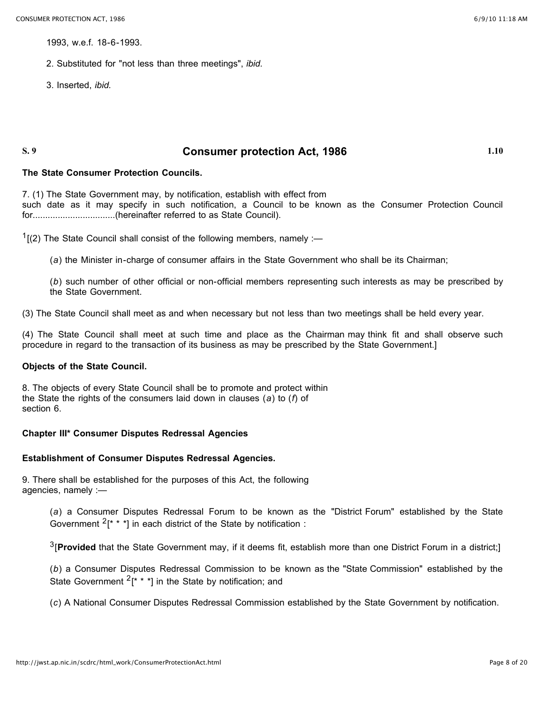1993, w.e.f. 18-6-1993.

- 2. Substituted for "not less than three meetings", *ibid.*
- 3. Inserted, *ibid.*

### **S. 9 Consumer protection Act, 1986 1.10**

### **The State Consumer Protection Councils.**

7. (1) The State Government may, by notification, establish with effect from such date as it may specify in such notification, a Council to be known as the Consumer Protection Council for.................................(hereinafter referred to as State Council).

 $1$ [(2) The State Council shall consist of the following members, namely :—

(*a*) the Minister in-charge of consumer affairs in the State Government who shall be its Chairman;

(*b*) such number of other official or non-official members representing such interests as may be prescribed by the State Government.

(3) The State Council shall meet as and when necessary but not less than two meetings shall be held every year.

(4) The State Council shall meet at such time and place as the Chairman may think fit and shall observe such procedure in regard to the transaction of its business as may be prescribed by the State Government.]

### **Objects of the State Council.**

8. The objects of every State Council shall be to promote and protect within the State the rights of the consumers laid down in clauses (*a*) to (*f*) of section 6.

### **Chapter III\* Consumer Disputes Redressal Agencies**

### **Establishment of Consumer Disputes Redressal Agencies.**

9. There shall be established for the purposes of this Act, the following agencies, namely :—

(*a*) a Consumer Disputes Redressal Forum to be known as the "District Forum" established by the State Government  $2^x$  \* \*] in each district of the State by notification :

3[**Provided** that the State Government may, if it deems fit, establish more than one District Forum in a district;]

(*b*) a Consumer Disputes Redressal Commission to be known as the "State Commission" established by the State Government  $2^x * 1$  in the State by notification; and

(*c*) A National Consumer Disputes Redressal Commission established by the State Government by notification.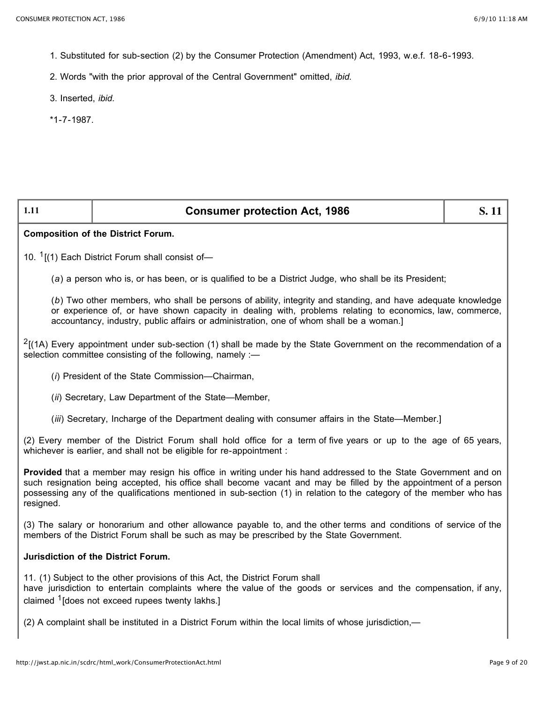- 1. Substituted for sub-section (2) by the Consumer Protection (Amendment) Act, 1993, w.e.f. 18-6-1993.
- 2. Words "with the prior approval of the Central Government" omitted, *ibid.*
- 3. Inserted, *ibid.*
- \*1-7-1987.

| 1.11                                                                                                                                                                                                                                                                                                                                                                    | <b>Consumer protection Act, 1986</b> | S. 11 |  |
|-------------------------------------------------------------------------------------------------------------------------------------------------------------------------------------------------------------------------------------------------------------------------------------------------------------------------------------------------------------------------|--------------------------------------|-------|--|
| <b>Composition of the District Forum.</b>                                                                                                                                                                                                                                                                                                                               |                                      |       |  |
| 10. <sup>1</sup> [(1) Each District Forum shall consist of-                                                                                                                                                                                                                                                                                                             |                                      |       |  |
| (a) a person who is, or has been, or is qualified to be a District Judge, who shall be its President;                                                                                                                                                                                                                                                                   |                                      |       |  |
| (b) Two other members, who shall be persons of ability, integrity and standing, and have adequate knowledge<br>or experience of, or have shown capacity in dealing with, problems relating to economics, law, commerce,<br>accountancy, industry, public affairs or administration, one of whom shall be a woman.]                                                      |                                      |       |  |
| $2$ [(1A) Every appointment under sub-section (1) shall be made by the State Government on the recommendation of a<br>selection committee consisting of the following, namely :-                                                                                                                                                                                        |                                      |       |  |
| (i) President of the State Commission-Chairman,                                                                                                                                                                                                                                                                                                                         |                                      |       |  |
| (ii) Secretary, Law Department of the State-Member,                                                                                                                                                                                                                                                                                                                     |                                      |       |  |
| (iii) Secretary, Incharge of the Department dealing with consumer affairs in the State-Member.]                                                                                                                                                                                                                                                                         |                                      |       |  |
| (2) Every member of the District Forum shall hold office for a term of five years or up to the age of 65 years,<br>whichever is earlier, and shall not be eligible for re-appointment :                                                                                                                                                                                 |                                      |       |  |
| Provided that a member may resign his office in writing under his hand addressed to the State Government and on<br>such resignation being accepted, his office shall become vacant and may be filled by the appointment of a person<br>possessing any of the qualifications mentioned in sub-section (1) in relation to the category of the member who has<br>resigned. |                                      |       |  |
| (3) The salary or honorarium and other allowance payable to, and the other terms and conditions of service of the<br>members of the District Forum shall be such as may be prescribed by the State Government.                                                                                                                                                          |                                      |       |  |
| Jurisdiction of the District Forum.                                                                                                                                                                                                                                                                                                                                     |                                      |       |  |
| 11. (1) Subject to the other provisions of this Act, the District Forum shall<br>have jurisdiction to entertain complaints where the value of the goods or services and the compensation, if any,<br>claimed <sup>1</sup> [does not exceed rupees twenty lakhs.]                                                                                                        |                                      |       |  |
| (2) A complaint shall be instituted in a District Forum within the local limits of whose jurisdiction,-                                                                                                                                                                                                                                                                 |                                      |       |  |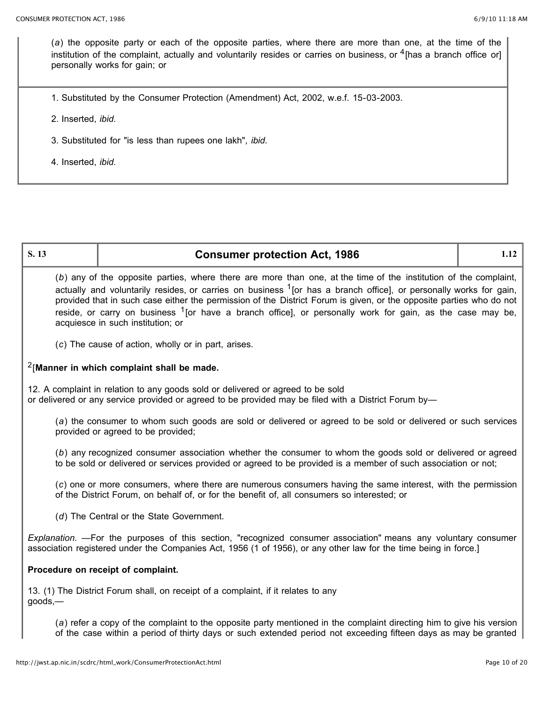(*a*) the opposite party or each of the opposite parties, where there are more than one, at the time of the institution of the complaint, actually and voluntarily resides or carries on business, or  $\rm{^4}$ [has a branch office or] personally works for gain; or

1. Substituted by the Consumer Protection (Amendment) Act, 2002, w.e.f. 15-03-2003.

2. Inserted, *ibid.*

3. Substituted for "is less than rupees one lakh", *ibid.*

4. Inserted, *ibid.*

# **S. 13 Consumer protection Act, 1986 1.12** (*b*) any of the opposite parties, where there are more than one, at the time of the institution of the complaint, actually and voluntarily resides, or carries on business  $1$  [or has a branch office], or personally works for gain, provided that in such case either the permission of the District Forum is given, or the opposite parties who do not reside, or carry on business  $1$  [or have a branch office], or personally work for gain, as the case may be, acquiesce in such institution; or (*c*) The cause of action, wholly or in part, arises. 2[**Manner in which complaint shall be made.** 12. A complaint in relation to any goods sold or delivered or agreed to be sold or delivered or any service provided or agreed to be provided may be filed with a District Forum by— (*a*) the consumer to whom such goods are sold or delivered or agreed to be sold or delivered or such services provided or agreed to be provided; (*b*) any recognized consumer association whether the consumer to whom the goods sold or delivered or agreed to be sold or delivered or services provided or agreed to be provided is a member of such association or not; (*c*) one or more consumers, where there are numerous consumers having the same interest, with the permission of the District Forum, on behalf of, or for the benefit of, all consumers so interested; or (*d*) The Central or the State Government. *Explanation.* —For the purposes of this section, "recognized consumer association" means any voluntary consumer association registered under the Companies Act, 1956 (1 of 1956), or any other law for the time being in force.] **Procedure on receipt of complaint.** 13. (1) The District Forum shall, on receipt of a complaint, if it relates to any goods,— (*a*) refer a copy of the complaint to the opposite party mentioned in the complaint directing him to give his version of the case within a period of thirty days or such extended period not exceeding fifteen days as may be granted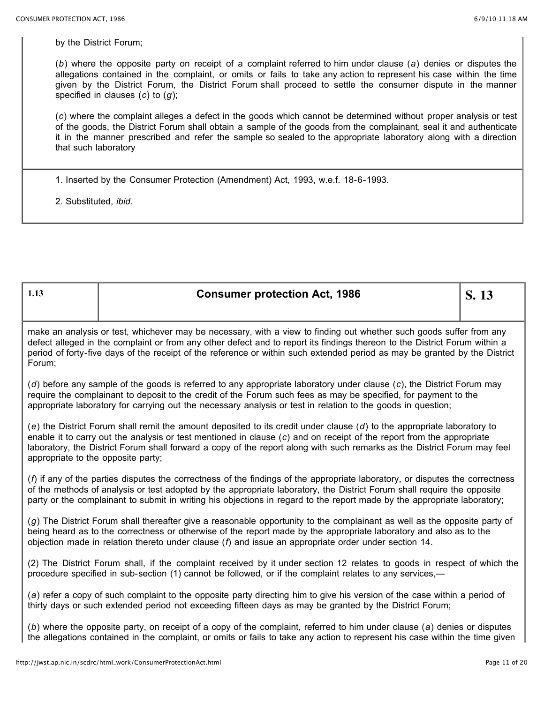by the District Forum;

(*b*) where the opposite party on receipt of a complaint referred to him under clause (*a*) denies or disputes the allegations contained in the complaint, or omits or fails to take any action to represent his case within the time given by the District Forum, the District Forum shall proceed to settle the consumer dispute in the manner specified in clauses (*c*) to (*g*);

(*c*) where the complaint alleges a defect in the goods which cannot be determined without proper analysis or test of the goods, the District Forum shall obtain a sample of the goods from the complainant, seal it and authenticate it in the manner prescribed and refer the sample so sealed to the appropriate laboratory along with a direction that such laboratory

1. Inserted by the Consumer Protection (Amendment) Act, 1993, w.e.f. 18-6-1993.

2. Substituted, *ibid.*

| 1.13                                                                                                                                                                                                                                                                                                                                                                                                                   | <b>Consumer protection Act, 1986</b> | S. 13 |
|------------------------------------------------------------------------------------------------------------------------------------------------------------------------------------------------------------------------------------------------------------------------------------------------------------------------------------------------------------------------------------------------------------------------|--------------------------------------|-------|
| make an analysis or test, whichever may be necessary, with a view to finding out whether such goods suffer from any<br>defect alleged in the complaint or from any other defect and to report its findings thereon to the District Forum within a<br>period of forty-five days of the receipt of the reference or within such extended period as may be granted by the District<br>Forum;                              |                                      |       |
| (d) before any sample of the goods is referred to any appropriate laboratory under clause (c), the District Forum may<br>require the complainant to deposit to the credit of the Forum such fees as may be specified, for payment to the<br>appropriate laboratory for carrying out the necessary analysis or test in relation to the goods in question;                                                               |                                      |       |
| (e) the District Forum shall remit the amount deposited to its credit under clause $(d)$ to the appropriate laboratory to<br>enable it to carry out the analysis or test mentioned in clause $(c)$ and on receipt of the report from the appropriate<br>laboratory, the District Forum shall forward a copy of the report along with such remarks as the District Forum may feel<br>appropriate to the opposite party; |                                      |       |
| $(f)$ if any of the parties disputes the correctness of the findings of the appropriate laboratory, or disputes the correctness<br>of the methods of analysis or test adopted by the appropriate laboratory, the District Forum shall require the opposite<br>party or the complainant to submit in writing his objections in regard to the report made by the appropriate laboratory;                                 |                                      |       |
| (g) The District Forum shall thereafter give a reasonable opportunity to the complainant as well as the opposite party of<br>being heard as to the correctness or otherwise of the report made by the appropriate laboratory and also as to the<br>objection made in relation thereto under clause $(f)$ and issue an appropriate order under section 14.                                                              |                                      |       |
| (2) The District Forum shall, if the complaint received by it under section 12 relates to goods in respect of which the<br>procedure specified in sub-section (1) cannot be followed, or if the complaint relates to any services,—                                                                                                                                                                                    |                                      |       |
| (a) refer a copy of such complaint to the opposite party directing him to give his version of the case within a period of<br>thirty days or such extended period not exceeding fifteen days as may be granted by the District Forum;                                                                                                                                                                                   |                                      |       |
| (b) where the opposite party, on receipt of a copy of the complaint, referred to him under clause (a) denies or disputes<br>the allegations contained in the complaint, or omits or fails to take any action to represent his case within the time given                                                                                                                                                               |                                      |       |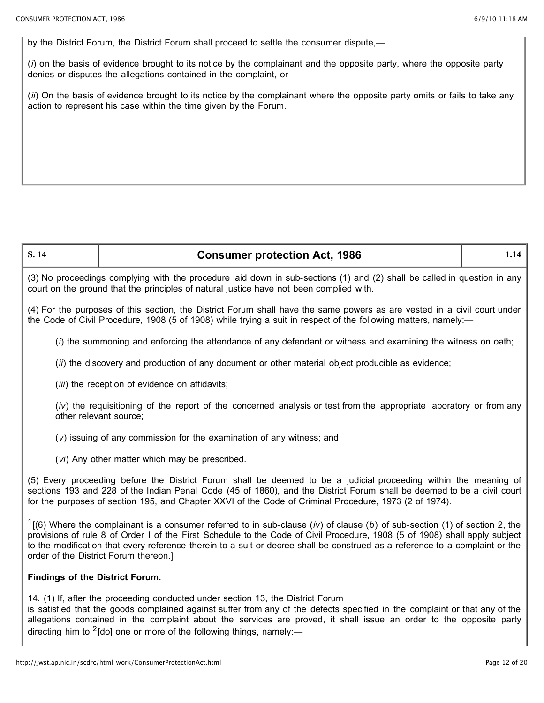by the District Forum, the District Forum shall proceed to settle the consumer dispute,—

(*i*) on the basis of evidence brought to its notice by the complainant and the opposite party, where the opposite party denies or disputes the allegations contained in the complaint, or

(*ii*) On the basis of evidence brought to its notice by the complainant where the opposite party omits or fails to take any action to represent his case within the time given by the Forum.

## **S. 14 Consumer protection Act, 1986 1.14**

(3) No proceedings complying with the procedure laid down in sub-sections (1) and (2) shall be called in question in any court on the ground that the principles of natural justice have not been complied with.

(4) For the purposes of this section, the District Forum shall have the same powers as are vested in a civil court under the Code of Civil Procedure, 1908 (5 of 1908) while trying a suit in respect of the following matters, namely:—

(*i*) the summoning and enforcing the attendance of any defendant or witness and examining the witness on oath;

(*ii*) the discovery and production of any document or other material object producible as evidence;

(*iii*) the reception of evidence on affidavits;

(*iv*) the requisitioning of the report of the concerned analysis or test from the appropriate laboratory or from any other relevant source;

(*v*) issuing of any commission for the examination of any witness; and

(*vi*) Any other matter which may be prescribed.

(5) Every proceeding before the District Forum shall be deemed to be a judicial proceeding within the meaning of sections 193 and 228 of the Indian Penal Code (45 of 1860), and the District Forum shall be deemed to be a civil court for the purposes of section 195, and Chapter XXVI of the Code of Criminal Procedure, 1973 (2 of 1974).

<sup>1</sup>[(6) Where the complainant is a consumer referred to in sub-clause (*iv*) of clause (*b*) of sub-section (1) of section 2, the provisions of rule 8 of Order I of the First Schedule to the Code of Civil Procedure, 1908 (5 of 1908) shall apply subject to the modification that every reference therein to a suit or decree shall be construed as a reference to a complaint or the order of the District Forum thereon.]

### **Findings of the District Forum.**

14. (1) If, after the proceeding conducted under section 13, the District Forum

is satisfied that the goods complained against suffer from any of the defects specified in the complaint or that any of the allegations contained in the complaint about the services are proved, it shall issue an order to the opposite party directing him to <sup>2</sup>[do] one or more of the following things, namely:—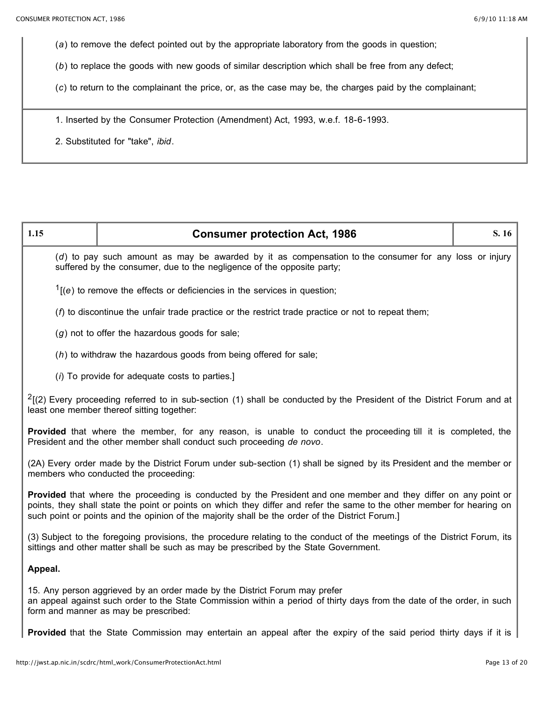(*a*) to remove the defect pointed out by the appropriate laboratory from the goods in question;

(*b*) to replace the goods with new goods of similar description which shall be free from any defect;

(*c*) to return to the complainant the price, or, as the case may be, the charges paid by the complainant;

1. Inserted by the Consumer Protection (Amendment) Act, 1993, w.e.f. 18-6-1993.

2. Substituted for "take", *ibid*.

| 1.15                                                                                                                                                                       | <b>Consumer protection Act, 1986</b>                                                                                                                                                                                                                                                                                                          | S. 16 |
|----------------------------------------------------------------------------------------------------------------------------------------------------------------------------|-----------------------------------------------------------------------------------------------------------------------------------------------------------------------------------------------------------------------------------------------------------------------------------------------------------------------------------------------|-------|
|                                                                                                                                                                            | (d) to pay such amount as may be awarded by it as compensation to the consumer for any loss or injury<br>suffered by the consumer, due to the negligence of the opposite party;                                                                                                                                                               |       |
|                                                                                                                                                                            | $1$ [(e) to remove the effects or deficiencies in the services in question;                                                                                                                                                                                                                                                                   |       |
| $(f)$ to discontinue the unfair trade practice or the restrict trade practice or not to repeat them;                                                                       |                                                                                                                                                                                                                                                                                                                                               |       |
| $(g)$ not to offer the hazardous goods for sale;                                                                                                                           |                                                                                                                                                                                                                                                                                                                                               |       |
| (h) to withdraw the hazardous goods from being offered for sale;                                                                                                           |                                                                                                                                                                                                                                                                                                                                               |       |
|                                                                                                                                                                            | (i) To provide for adequate costs to parties.]                                                                                                                                                                                                                                                                                                |       |
| $^{2}$ [(2) Every proceeding referred to in sub-section (1) shall be conducted by the President of the District Forum and at<br>least one member thereof sitting together: |                                                                                                                                                                                                                                                                                                                                               |       |
|                                                                                                                                                                            | <b>Provided</b> that where the member, for any reason, is unable to conduct the proceeding till it is completed, the<br>President and the other member shall conduct such proceeding de novo.                                                                                                                                                 |       |
|                                                                                                                                                                            | (2A) Every order made by the District Forum under sub-section (1) shall be signed by its President and the member or<br>members who conducted the proceeding:                                                                                                                                                                                 |       |
|                                                                                                                                                                            | Provided that where the proceeding is conducted by the President and one member and they differ on any point or<br>points, they shall state the point or points on which they differ and refer the same to the other member for hearing on<br>such point or points and the opinion of the majority shall be the order of the District Forum.] |       |
|                                                                                                                                                                            | (3) Subject to the foregoing provisions, the procedure relating to the conduct of the meetings of the District Forum, its<br>sittings and other matter shall be such as may be prescribed by the State Government.                                                                                                                            |       |
| Appeal.                                                                                                                                                                    |                                                                                                                                                                                                                                                                                                                                               |       |
|                                                                                                                                                                            | 15. Any person aggrieved by an order made by the District Forum may prefer<br>an appeal against such order to the State Commission within a period of thirty days from the date of the order, in such<br>form and manner as may be prescribed:                                                                                                |       |
|                                                                                                                                                                            | Provided that the State Commission may entertain an appeal after the expiry of the said period thirty days if it is                                                                                                                                                                                                                           |       |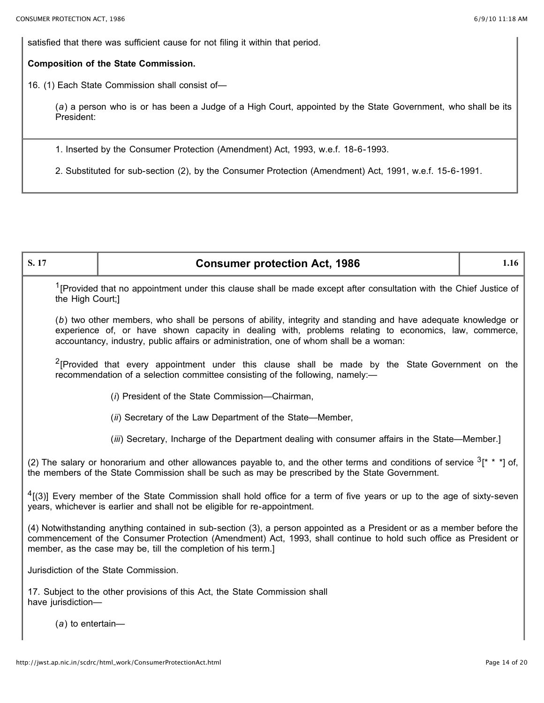satisfied that there was sufficient cause for not filing it within that period.

### **Composition of the State Commission.**

16. (1) Each State Commission shall consist of—

(*a*) a person who is or has been a Judge of a High Court, appointed by the State Government, who shall be its President:

1. Inserted by the Consumer Protection (Amendment) Act, 1993, w.e.f. 18-6-1993.

2. Substituted for sub-section (2), by the Consumer Protection (Amendment) Act, 1991, w.e.f. 15-6-1991.

| S. 17                                                                                                                                                                                                                                                                                                            | <b>Consumer protection Act, 1986</b> | 1.16 |
|------------------------------------------------------------------------------------------------------------------------------------------------------------------------------------------------------------------------------------------------------------------------------------------------------------------|--------------------------------------|------|
| <sup>1</sup> [Provided that no appointment under this clause shall be made except after consultation with the Chief Justice of<br>the High Court;]                                                                                                                                                               |                                      |      |
| (b) two other members, who shall be persons of ability, integrity and standing and have adequate knowledge or<br>experience of, or have shown capacity in dealing with, problems relating to economics, law, commerce,<br>accountancy, industry, public affairs or administration, one of whom shall be a woman: |                                      |      |
| <sup>2</sup> [Provided that every appointment under this clause shall be made by the State Government on the<br>recommendation of a selection committee consisting of the following, namely:-                                                                                                                    |                                      |      |
| (i) President of the State Commission-Chairman,                                                                                                                                                                                                                                                                  |                                      |      |
| (ii) Secretary of the Law Department of the State—Member,                                                                                                                                                                                                                                                        |                                      |      |
| (iii) Secretary, Incharge of the Department dealing with consumer affairs in the State—Member.]                                                                                                                                                                                                                  |                                      |      |
| (2) The salary or honorarium and other allowances payable to, and the other terms and conditions of service $3$ <sup>*</sup> * *] of,<br>the members of the State Commission shall be such as may be prescribed by the State Government.                                                                         |                                      |      |
| <sup>4</sup> [(3)] Every member of the State Commission shall hold office for a term of five years or up to the age of sixty-seven<br>years, whichever is earlier and shall not be eligible for re-appointment.                                                                                                  |                                      |      |
| (4) Notwithstanding anything contained in sub-section (3), a person appointed as a President or as a member before the<br>commencement of the Consumer Protection (Amendment) Act, 1993, shall continue to hold such office as President or<br>member, as the case may be, till the completion of his term.]     |                                      |      |
| Jurisdiction of the State Commission.                                                                                                                                                                                                                                                                            |                                      |      |
| 17. Subject to the other provisions of this Act, the State Commission shall<br>have jurisdiction-                                                                                                                                                                                                                |                                      |      |
| $(a)$ to entertain-                                                                                                                                                                                                                                                                                              |                                      |      |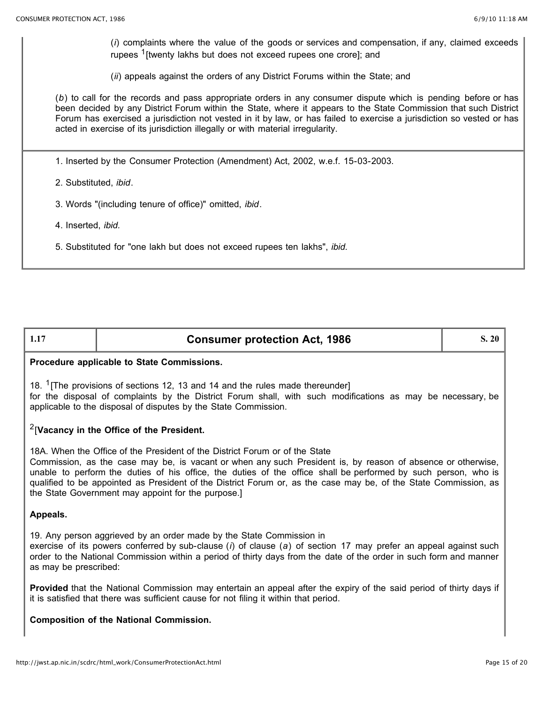(*i*) complaints where the value of the goods or services and compensation, if any, claimed exceeds rupees <sup>1</sup>[twenty lakhs but does not exceed rupees one crore]; and

(*ii*) appeals against the orders of any District Forums within the State; and

(*b*) to call for the records and pass appropriate orders in any consumer dispute which is pending before or has been decided by any District Forum within the State, where it appears to the State Commission that such District Forum has exercised a jurisdiction not vested in it by law, or has failed to exercise a jurisdiction so vested or has acted in exercise of its jurisdiction illegally or with material irregularity.

1. Inserted by the Consumer Protection (Amendment) Act, 2002, w.e.f. 15-03-2003.

2. Substituted, *ibid*.

3. Words "(including tenure of office)" omitted, *ibid*.

4. Inserted, *ibid.*

5. Substituted for "one lakh but does not exceed rupees ten lakhs", *ibid.*

| <b>Consumer protection Act, 1986</b> | 3.20 |
|--------------------------------------|------|
|                                      |      |

### **Procedure applicable to State Commissions.**

18. <sup>1</sup>[The provisions of sections 12, 13 and 14 and the rules made thereunder] for the disposal of complaints by the District Forum shall, with such modifications as may be necessary, be applicable to the disposal of disputes by the State Commission.

### 2[**Vacancy in the Office of the President.**

18A. When the Office of the President of the District Forum or of the State

Commission, as the case may be, is vacant or when any such President is, by reason of absence or otherwise, unable to perform the duties of his office, the duties of the office shall be performed by such person, who is qualified to be appointed as President of the District Forum or, as the case may be, of the State Commission, as the State Government may appoint for the purpose.]

### **Appeals.**

19. Any person aggrieved by an order made by the State Commission in

exercise of its powers conferred by sub-clause (*i*) of clause (*a*) of section 17 may prefer an appeal against such order to the National Commission within a period of thirty days from the date of the order in such form and manner as may be prescribed:

**Provided** that the National Commission may entertain an appeal after the expiry of the said period of thirty days if it is satisfied that there was sufficient cause for not filing it within that period.

### **Composition of the National Commission.**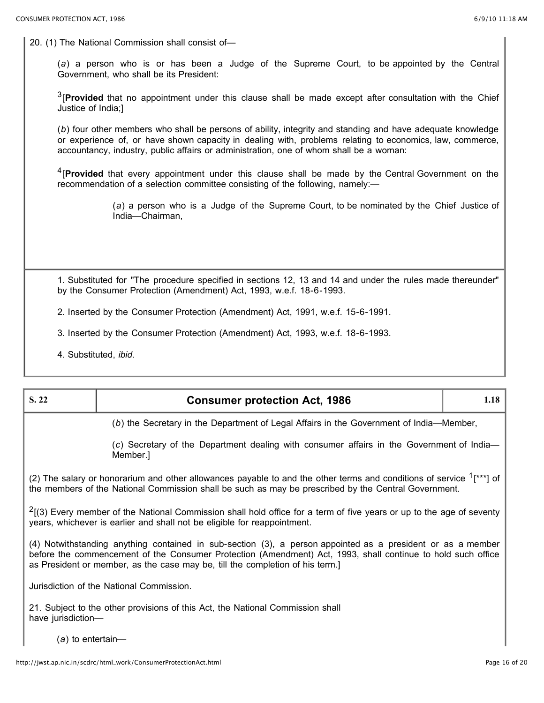20. (1) The National Commission shall consist of—

(*a*) a person who is or has been a Judge of the Supreme Court, to be appointed by the Central Government, who shall be its President:

3[**Provided** that no appointment under this clause shall be made except after consultation with the Chief Justice of India;]

(*b*) four other members who shall be persons of ability, integrity and standing and have adequate knowledge or experience of, or have shown capacity in dealing with, problems relating to economics, law, commerce, accountancy, industry, public affairs or administration, one of whom shall be a woman:

4[**Provided** that every appointment under this clause shall be made by the Central Government on the recommendation of a selection committee consisting of the following, namely:—

> (*a*) a person who is a Judge of the Supreme Court, to be nominated by the Chief Justice of India—Chairman,

1. Substituted for "The procedure specified in sections 12, 13 and 14 and under the rules made thereunder" by the Consumer Protection (Amendment) Act, 1993, w.e.f. 18-6-1993.

2. Inserted by the Consumer Protection (Amendment) Act, 1991, w.e.f. 15-6-1991.

3. Inserted by the Consumer Protection (Amendment) Act, 1993, w.e.f. 18-6-1993.

4. Substituted, *ibid.*

| S. 22                                                                                                                                                                                                                                                                                                        | <b>Consumer protection Act, 1986</b>                                                                  | 1.18 |
|--------------------------------------------------------------------------------------------------------------------------------------------------------------------------------------------------------------------------------------------------------------------------------------------------------------|-------------------------------------------------------------------------------------------------------|------|
| (b) the Secretary in the Department of Legal Affairs in the Government of India—Member,                                                                                                                                                                                                                      |                                                                                                       |      |
|                                                                                                                                                                                                                                                                                                              | (c) Secretary of the Department dealing with consumer affairs in the Government of India—<br>Member.] |      |
| (2) The salary or honorarium and other allowances payable to and the other terms and conditions of service $1$ <sup>***</sup> ] of<br>the members of the National Commission shall be such as may be prescribed by the Central Government.                                                                   |                                                                                                       |      |
| $2$ [(3) Every member of the National Commission shall hold office for a term of five years or up to the age of seventy<br>years, whichever is earlier and shall not be eligible for reappointment.                                                                                                          |                                                                                                       |      |
| (4) Notwithstanding anything contained in sub-section (3), a person appointed as a president or as a member<br>before the commencement of the Consumer Protection (Amendment) Act, 1993, shall continue to hold such office<br>as President or member, as the case may be, till the completion of his term.] |                                                                                                       |      |
| Jurisdiction of the National Commission.                                                                                                                                                                                                                                                                     |                                                                                                       |      |
| 21. Subject to the other provisions of this Act, the National Commission shall<br>have jurisdiction-                                                                                                                                                                                                         |                                                                                                       |      |

(*a*) to entertain—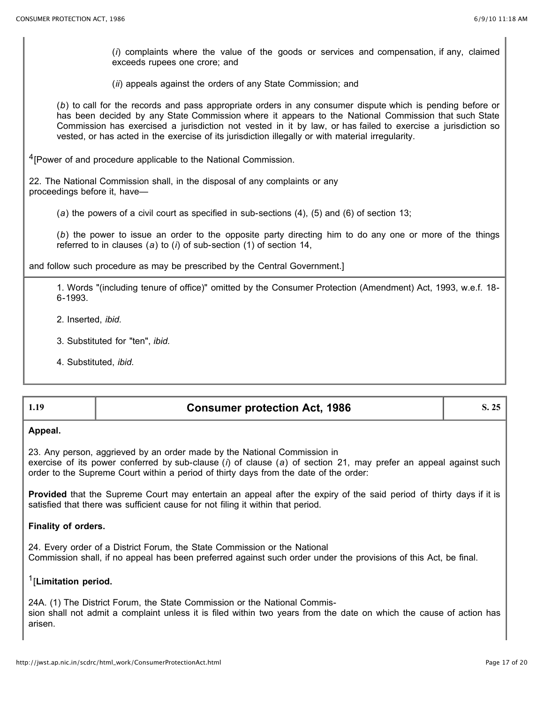(*i*) complaints where the value of the goods or services and compensation, if any, claimed exceeds rupees one crore; and

(*ii*) appeals against the orders of any State Commission; and

(*b*) to call for the records and pass appropriate orders in any consumer dispute which is pending before or has been decided by any State Commission where it appears to the National Commission that such State Commission has exercised a jurisdiction not vested in it by law, or has failed to exercise a jurisdiction so vested, or has acted in the exercise of its jurisdiction illegally or with material irregularity.

<sup>4</sup>[Power of and procedure applicable to the National Commission.

22. The National Commission shall, in the disposal of any complaints or any proceedings before it, have—

(*a*) the powers of a civil court as specified in sub-sections (4), (5) and (6) of section 13;

(*b*) the power to issue an order to the opposite party directing him to do any one or more of the things referred to in clauses (*a*) to (*i*) of sub-section (1) of section 14,

and follow such procedure as may be prescribed by the Central Government.]

1. Words "(including tenure of office)" omitted by the Consumer Protection (Amendment) Act, 1993, w.e.f. 18- 6-1993.

- 2. Inserted, *ibid.*
- 3. Substituted for "ten", *ibid.*
- 4. Substituted, *ibid.*

| <b>Consumer protection Act, 1986</b><br>-1.19 |
|-----------------------------------------------|
|-----------------------------------------------|

### **Appeal.**

23. Any person, aggrieved by an order made by the National Commission in exercise of its power conferred by sub-clause (*i*) of clause (*a*) of section 21, may prefer an appeal against such order to the Supreme Court within a period of thirty days from the date of the order:

**Provided** that the Supreme Court may entertain an appeal after the expiry of the said period of thirty days if it is satisfied that there was sufficient cause for not filing it within that period.

#### **Finality of orders.**

24. Every order of a District Forum, the State Commission or the National Commission shall, if no appeal has been preferred against such order under the provisions of this Act, be final.

### 1[**Limitation period.**

24A. (1) The District Forum, the State Commission or the National Commission shall not admit a complaint unless it is filed within two years from the date on which the cause of action has arisen.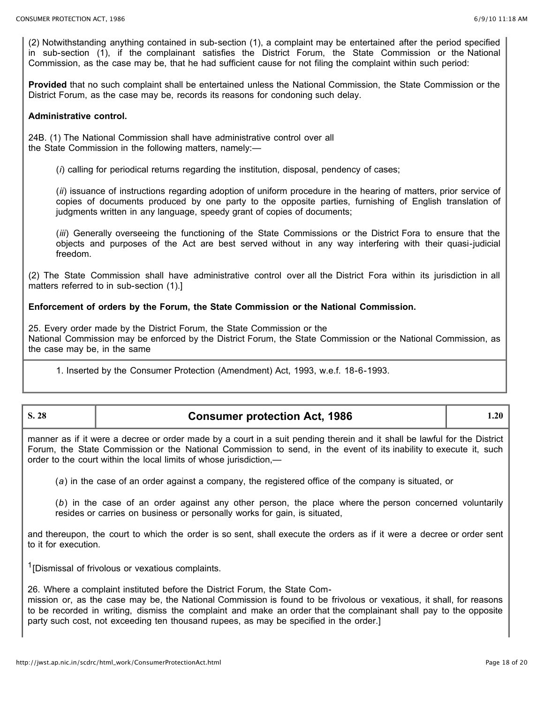(2) Notwithstanding anything contained in sub-section (1), a complaint may be entertained after the period specified in sub-section (1), if the complainant satisfies the District Forum, the State Commission or the National Commission, as the case may be, that he had sufficient cause for not filing the complaint within such period:

**Provided** that no such complaint shall be entertained unless the National Commission, the State Commission or the District Forum, as the case may be, records its reasons for condoning such delay.

### **Administrative control.**

24B. (1) The National Commission shall have administrative control over all the State Commission in the following matters, namely:—

(*i*) calling for periodical returns regarding the institution, disposal, pendency of cases;

(*ii*) issuance of instructions regarding adoption of uniform procedure in the hearing of matters, prior service of copies of documents produced by one party to the opposite parties, furnishing of English translation of judgments written in any language, speedy grant of copies of documents;

(*iii*) Generally overseeing the functioning of the State Commissions or the District Fora to ensure that the objects and purposes of the Act are best served without in any way interfering with their quasi-judicial freedom.

(2) The State Commission shall have administrative control over all the District Fora within its jurisdiction in all matters referred to in sub-section (1).]

### **Enforcement of orders by the Forum, the State Commission or the National Commission.**

25. Every order made by the District Forum, the State Commission or the National Commission may be enforced by the District Forum, the State Commission or the National Commission, as the case may be, in the same

1. Inserted by the Consumer Protection (Amendment) Act, 1993, w.e.f. 18-6-1993.

| S. 28 | <b>Consumer protection Act, 1986</b> |  |
|-------|--------------------------------------|--|
|       |                                      |  |

manner as if it were a decree or order made by a court in a suit pending therein and it shall be lawful for the District Forum, the State Commission or the National Commission to send, in the event of its inability to execute it, such order to the court within the local limits of whose jurisdiction,—

(*a*) in the case of an order against a company, the registered office of the company is situated, or

(*b*) in the case of an order against any other person, the place where the person concerned voluntarily resides or carries on business or personally works for gain, is situated,

and thereupon, the court to which the order is so sent, shall execute the orders as if it were a decree or order sent to it for execution.

 $1$ [Dismissal of frivolous or vexatious complaints.

26. Where a complaint instituted before the District Forum, the State Com-

mission or, as the case may be, the National Commission is found to be frivolous or vexatious, it shall, for reasons to be recorded in writing, dismiss the complaint and make an order that the complainant shall pay to the opposite party such cost, not exceeding ten thousand rupees, as may be specified in the order.]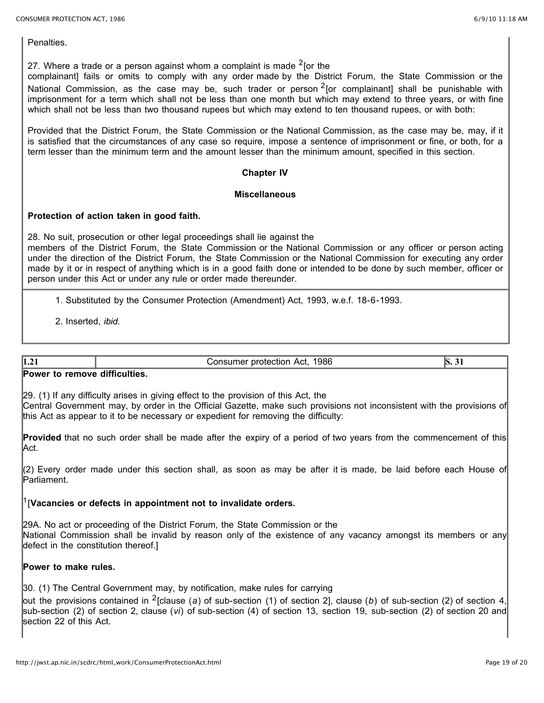**Penalties** 

27. Where a trade or a person against whom a complaint is made  $2$  for the

complainant] fails or omits to comply with any order made by the District Forum, the State Commission or the National Commission, as the case may be, such trader or person  $2$  [or complainant] shall be punishable with imprisonment for a term which shall not be less than one month but which may extend to three years, or with fine which shall not be less than two thousand rupees but which may extend to ten thousand rupees, or with both:

Provided that the District Forum, the State Commission or the National Commission, as the case may be, may, if it is satisfied that the circumstances of any case so require, impose a sentence of imprisonment or fine, or both, for a term lesser than the minimum term and the amount lesser than the minimum amount, specified in this section.

#### **Chapter IV**

### **Miscellaneous**

### **Protection of action taken in good faith.**

28. No suit, prosecution or other legal proceedings shall lie against the members of the District Forum, the State Commission or the National Commission or any officer or person acting under the direction of the District Forum, the State Commission or the National Commission for executing any order made by it or in respect of anything which is in a good faith done or intended to be done by such member, officer or person under this Act or under any rule or order made thereunder.

1. Substituted by the Consumer Protection (Amendment) Act, 1993, w.e.f. 18-6-1993.

2. Inserted, *ibid.*

**1.21 Solution Secure 2.31 Consumer protection Act, 1986 S. 31 S.** 31

#### **Power to remove difficulties.**

29. (1) If any difficulty arises in giving effect to the provision of this Act, the Central Government may, by order in the Official Gazette, make such provisions not inconsistent with the provisions of this Act as appear to it to be necessary or expedient for removing the difficulty:

**Provided** that no such order shall be made after the expiry of a period of two years from the commencement of this Act.

(2) Every order made under this section shall, as soon as may be after it is made, be laid before each House of Parliament.

### 1[**Vacancies or defects in appointment not to invalidate orders.**

29A. No act or proceeding of the District Forum, the State Commission or the National Commission shall be invalid by reason only of the existence of any vacancy amongst its members or any defect in the constitution thereof.]

### **Power to make rules.**

30. (1) The Central Government may, by notification, make rules for carrying

out the provisions contained in 2[clause (*a*) of sub-section (1) of section 2], clause (*b*) of sub-section (2) of section 4, sub-section (2) of section 2, clause (*vi*) of sub-section (4) of section 13, section 19, sub-section (2) of section 20 and section 22 of this Act.